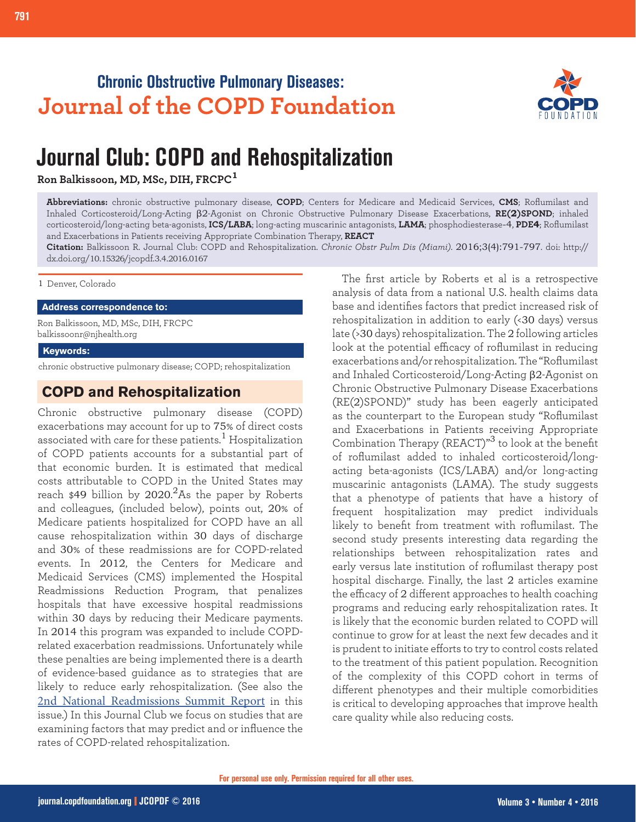# **Chronic Obstructive Pulmonary Diseases: Journal of the COPD Foundation**



# **Journal Club: COPD and Rehospitalization**

**Ron Balkissoon, MD, MSc, DIH, FRCPC<sup>1</sup>**

**Abbreviations:** chronic obstructive pulmonary disease, **COPD**; Centers for Medicare and Medicaid Services, **CMS**; Roflumilast and Inhaled Corticosteroid/Long-Acting β2-Agonist on Chronic Obstructive Pulmonary Disease Exacerbations, **RE(2)SPOND**; inhaled corticosteroid/long-acting beta-agonists, **ICS/LABA**; long-acting muscarinic antagonists, **LAMA**; phosphodiesterase-4, **PDE4**; Roflumilast and Exacerbations in Patients receiving Appropriate Combination Therapy, **REACT**

**Citation:** Balkissoon R. Journal Club: COPD and Rehospitalization. *Chronic Obstr Pulm Dis (Miami)*. 2016;3(4):791-797. doi: http:// dx.doi.org/10.15326/jcopdf.3.4.2016.0167

1 Denver, Colorado

**Address correspondence to:**

Ron Balkissoon, MD, MSc, DIH, FRCPC balkissoonr@njhealth.org

**Keywords:**

chronic obstructive pulmonary disease; COPD; rehospitalization

# **COPD and Rehospitalization**

Chronic obstructive pulmonary disease (COPD) exacerbations may account for up to 75% of direct costs associated with care for these patients. $^1$  Hospitalization of COPD patients accounts for a substantial part of that economic burden. It is estimated that medical costs attributable to COPD in the United States may reach \$49 billion by 2020. $^2$ As the paper by Roberts and colleagues, (included below), points out, 20% of Medicare patients hospitalized for COPD have an all cause rehospitalization within 30 days of discharge and 30% of these readmissions are for COPD-related events. In 2012, the Centers for Medicare and Medicaid Services (CMS) implemented the Hospital Readmissions Reduction Program, that penalizes hospitals that have excessive hospital readmissions within 30 days by reducing their Medicare payments. In 2014 this program was expanded to include COPDrelated exacerbation readmissions. Unfortunately while these penalties are being implemented there is a dearth of evidence-based guidance as to strategies that are likely to reduce early rehospitalization. (See also the [2nd National Readmissions Summit Report](http://journal.copdfoundation.org/jcopdf/id/1128/The-2nd-National-COPD-Readmissions-Summit-and-Beyond-From-Theory-to-Implementation) in this issue.) In this Journal Club we focus on studies that are examining factors that may predict and or influence the rates of COPD-related rehospitalization.

The first article by Roberts et al is a retrospective analysis of data from a national U.S. health claims data base and identifies factors that predict increased risk of rehospitalization in addition to early (<30 days) versus late (>30 days) rehospitalization. The 2 following articles look at the potential efficacy of roflumilast in reducing exacerbations and/or rehospitalization. The "Roflumilast and Inhaled Corticosteroid/Long-Acting β2-Agonist on Chronic Obstructive Pulmonary Disease Exacerbations (RE(2)SPOND)" study has been eagerly anticipated as the counterpart to the European study "Roflumilast and Exacerbations in Patients receiving Appropriate Combination Therapy (REACT)"<sup>3</sup> to look at the benefit of roflumilast added to inhaled corticosteroid/longacting beta-agonists (ICS/LABA) and/or long-acting muscarinic antagonists (LAMA). The study suggests that a phenotype of patients that have a history of frequent hospitalization may predict individuals likely to benefit from treatment with roflumilast. The second study presents interesting data regarding the relationships between rehospitalization rates and early versus late institution of roflumilast therapy post hospital discharge. Finally, the last 2 articles examine the efficacy of 2 different approaches to health coaching programs and reducing early rehospitalization rates. It is likely that the economic burden related to COPD will continue to grow for at least the next few decades and it is prudent to initiate efforts to try to control costs related to the treatment of this patient population. Recognition of the complexity of this COPD cohort in terms of different phenotypes and their multiple comorbidities is critical to developing approaches that improve health care quality while also reducing costs.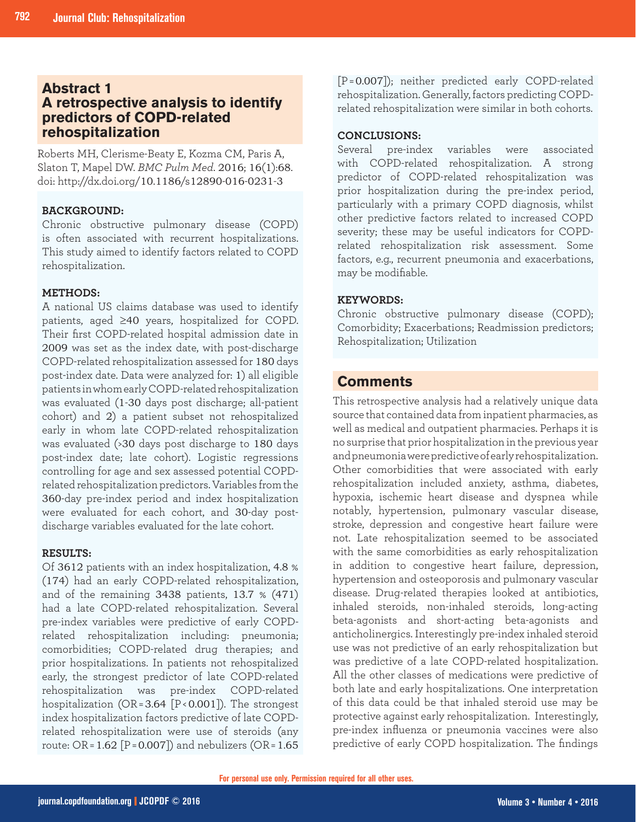## **Abstract 1 A retrospective analysis to identify predictors of COPD-related rehospitalization**

Roberts MH, Clerisme-Beaty E, Kozma CM, Paris A, Slaton T, Mapel DW. *BMC Pulm Med*. 2016; 16(1):68. doi: http://dx.doi.org/10.1186/s12890-016-0231-3

#### **BACKGROUND:**

Chronic obstructive pulmonary disease (COPD) is often associated with recurrent hospitalizations. This study aimed to identify factors related to COPD rehospitalization.

### **METHODS:**

A national US claims database was used to identify patients, aged ≥40 years, hospitalized for COPD. Their first COPD-related hospital admission date in 2009 was set as the index date, with post-discharge COPD-related rehospitalization assessed for 180 days post-index date. Data were analyzed for: 1) all eligible patients in whom early COPD-related rehospitalization was evaluated (1-30 days post discharge; all-patient cohort) and 2) a patient subset not rehospitalized early in whom late COPD-related rehospitalization was evaluated (>30 days post discharge to 180 days post-index date; late cohort). Logistic regressions controlling for age and sex assessed potential COPDrelated rehospitalization predictors. Variables from the 360-day pre-index period and index hospitalization were evaluated for each cohort, and 30-day postdischarge variables evaluated for the late cohort.

#### **RESULTS:**

**Comments** comorbidities; COPD-related drug therapies; and Of 3612 patients with an index hospitalization, 4.8 % (174) had an early COPD-related rehospitalization, and of the remaining 3438 patients, 13.7 % (471) had a late COPD-related rehospitalization. Several pre-index variables were predictive of early COPDrelated rehospitalization including: pneumonia; prior hospitalizations. In patients not rehospitalized early, the strongest predictor of late COPD-related rehospitalization was pre-index COPD-related hospitalization (OR = 3.64 [P < 0.001]). The strongest index hospitalization factors predictive of late COPDrelated rehospitalization were use of steroids (any route: OR = 1.62 [P = 0.007]) and nebulizers (OR = 1.65

[P = 0.007]); neither predicted early COPD-related rehospitalization. Generally, factors predicting COPDrelated rehospitalization were similar in both cohorts.

#### **CONCLUSIONS:**

Several pre-index variables were associated with COPD-related rehospitalization. A strong predictor of COPD-related rehospitalization was prior hospitalization during the pre-index period, particularly with a primary COPD diagnosis, whilst other predictive factors related to increased COPD severity; these may be useful indicators for COPDrelated rehospitalization risk assessment. Some factors, e.g., recurrent pneumonia and exacerbations, may be modifiable.

### **KEYWORDS:**

Chronic obstructive pulmonary disease (COPD); Comorbidity; Exacerbations; Readmission predictors; Rehospitalization; Utilization

# **Comments**

This retrospective analysis had a relatively unique data source that contained data from inpatient pharmacies, as well as medical and outpatient pharmacies. Perhaps it is no surprise that prior hospitalization in the previous year and pneumonia were predictive of early rehospitalization. Other comorbidities that were associated with early rehospitalization included anxiety, asthma, diabetes, hypoxia, ischemic heart disease and dyspnea while notably, hypertension, pulmonary vascular disease, stroke, depression and congestive heart failure were not. Late rehospitalization seemed to be associated with the same comorbidities as early rehospitalization in addition to congestive heart failure, depression, hypertension and osteoporosis and pulmonary vascular disease. Drug-related therapies looked at antibiotics, inhaled steroids, non-inhaled steroids, long-acting beta-agonists and short-acting beta-agonists and anticholinergics. Interestingly pre-index inhaled steroid use was not predictive of an early rehospitalization but was predictive of a late COPD-related hospitalization. All the other classes of medications were predictive of both late and early hospitalizations. One interpretation of this data could be that inhaled steroid use may be protective against early rehospitalization. Interestingly, pre-index influenza or pneumonia vaccines were also predictive of early COPD hospitalization. The findings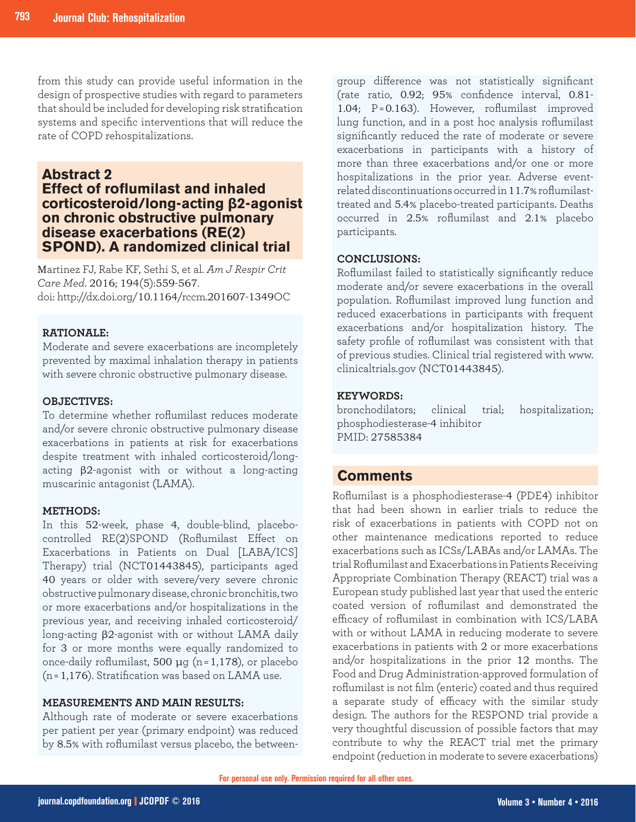from this study can provide useful information in the design of prospective studies with regard to parameters that should be included for developing risk stratification systems and specific interventions that will reduce the rate of COPD rehospitalizations.

# **Abstract 2 Effect of roflumilast and inhaled corticosteroid/long-acting β2-agonist on chronic obstructive pulmonary disease exacerbations (RE(2) SPOND). A randomized clinical trial**

Martinez FJ, Rabe KF, Sethi S, et al. *Am J Respir Crit Care Med*. 2016; 194(5):559-567. doi: http://dx.doi.org/10.1164/rccm.201607-1349OC

## **RATIONALE:**

Moderate and severe exacerbations are incompletely prevented by maximal inhalation therapy in patients with severe chronic obstructive pulmonary disease.

#### **OBJECTIVES:**

To determine whether roflumilast reduces moderate and/or severe chronic obstructive pulmonary disease exacerbations in patients at risk for exacerbations despite treatment with inhaled corticosteroid/longacting β2-agonist with or without a long-acting muscarinic antagonist (LAMA).

#### **METHODS:**

In this 52-week, phase 4, double-blind, placebocontrolled RE(2)SPOND (Roflumilast Effect on Exacerbations in Patients on Dual [LABA/ICS] Therapy) trial (NCT01443845), participants aged 40 years or older with severe/very severe chronic obstructive pulmonary disease, chronic bronchitis, two or more exacerbations and/or hospitalizations in the previous year, and receiving inhaled corticosteroid/ long-acting β2-agonist with or without LAMA daily for 3 or more months were equally randomized to once-daily roflumilast, 500 μg (n = 1,178), or placebo (n = 1,176). Stratification was based on LAMA use.

#### **MEASUREMENTS AND MAIN RESULTS:**

Although rate of moderate or severe exacerbations per patient per year (primary endpoint) was reduced by 8.5% with roflumilast versus placebo, the betweengroup difference was not statistically significant (rate ratio, 0.92; 95% confidence interval, 0.81- 1.04; P = 0.163). However, roflumilast improved lung function, and in a post hoc analysis roflumilast significantly reduced the rate of moderate or severe exacerbations in participants with a history of more than three exacerbations and/or one or more hospitalizations in the prior year. Adverse eventrelated discontinuations occurred in 11.7% roflumilasttreated and 5.4% placebo-treated participants. Deaths occurred in 2.5% roflumilast and 2.1% placebo participants.

#### **CONCLUSIONS:**

Roflumilast failed to statistically significantly reduce moderate and/or severe exacerbations in the overall population. Roflumilast improved lung function and reduced exacerbations in participants with frequent exacerbations and/or hospitalization history. The safety profile of roflumilast was consistent with that of previous studies. Clinical trial registered with www. clinicaltrials.gov (NCT01443845).

#### **KEYWORDS:**

bronchodilators; clinical trial; hospitalization; phosphodiesterase-4 inhibitor PMID: 27585384

## **Comments**

Roflumilast is a phosphodiesterase-4 (PDE4) inhibitor that had been shown in earlier trials to reduce the risk of exacerbations in patients with COPD not on other maintenance medications reported to reduce exacerbations such as ICSs/LABAs and/or LAMAs. The trial Roflumilast and Exacerbations in Patients Receiving Appropriate Combination Therapy (REACT) trial was a European study published last year that used the enteric coated version of roflumilast and demonstrated the efficacy of roflumilast in combination with ICS/LABA with or without LAMA in reducing moderate to severe exacerbations in patients with 2 or more exacerbations and/or hospitalizations in the prior 12 months. The Food and Drug Administration-approved formulation of roflumilast is not film (enteric) coated and thus required a separate study of efficacy with the similar study design. The authors for the RESPOND trial provide a very thoughtful discussion of possible factors that may contribute to why the REACT trial met the primary endpoint (reduction in moderate to severe exacerbations)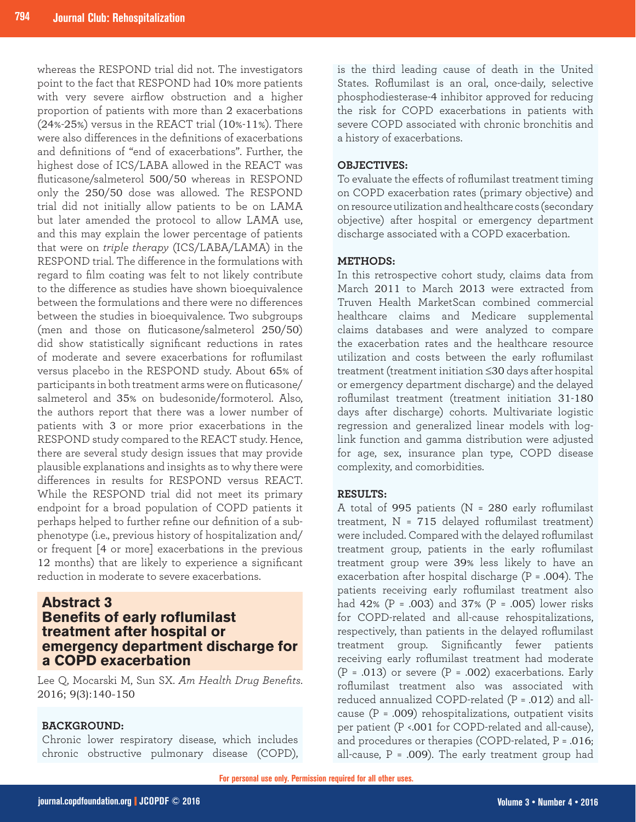whereas the RESPOND trial did not. The investigators point to the fact that RESPOND had 10% more patients with very severe airflow obstruction and a higher proportion of patients with more than 2 exacerbations (24%-25%) versus in the REACT trial (10%-11%). There were also differences in the definitions of exacerbations and definitions of "end of exacerbations". Further, the highest dose of ICS/LABA allowed in the REACT was fluticasone/salmeterol 500/50 whereas in RESPOND only the 250/50 dose was allowed. The RESPOND trial did not initially allow patients to be on LAMA but later amended the protocol to allow LAMA use, and this may explain the lower percentage of patients that were on *triple therapy* (ICS/LABA/LAMA) in the RESPOND trial. The difference in the formulations with regard to film coating was felt to not likely contribute to the difference as studies have shown bioequivalence between the formulations and there were no differences between the studies in bioequivalence. Two subgroups (men and those on fluticasone/salmeterol 250/50) did show statistically significant reductions in rates of moderate and severe exacerbations for roflumilast versus placebo in the RESPOND study. About 65% of participants in both treatment arms were on fluticasone/ salmeterol and 35% on budesonide/formoterol. Also, the authors report that there was a lower number of patients with 3 or more prior exacerbations in the RESPOND study compared to the REACT study. Hence, there are several study design issues that may provide plausible explanations and insights as to why there were differences in results for RESPOND versus REACT. While the RESPOND trial did not meet its primary endpoint for a broad population of COPD patients it perhaps helped to further refine our definition of a subphenotype (i.e., previous history of hospitalization and/ or frequent [4 or more] exacerbations in the previous 12 months) that are likely to experience a significant reduction in moderate to severe exacerbations.

## **Abstract 3 Benefits of early roflumilast treatment after hospital or emergency department discharge for a COPD exacerbation**

Lee Q, Mocarski M, Sun SX. *Am Health Drug Benefits*. 2016; 9(3):140-150

## **BACKGROUND:**

Chronic lower respiratory disease, which includes chronic obstructive pulmonary disease (COPD), is the third leading cause of death in the United States. Roflumilast is an oral, once-daily, selective phosphodiesterase-4 inhibitor approved for reducing the risk for COPD exacerbations in patients with severe COPD associated with chronic bronchitis and a history of exacerbations.

### **OBJECTIVES:**

To evaluate the effects of roflumilast treatment timing on COPD exacerbation rates (primary objective) and on resource utilization and healthcare costs (secondary objective) after hospital or emergency department discharge associated with a COPD exacerbation.

#### **METHODS:**

In this retrospective cohort study, claims data from March 2011 to March 2013 were extracted from Truven Health MarketScan combined commercial healthcare claims and Medicare supplemental claims databases and were analyzed to compare the exacerbation rates and the healthcare resource utilization and costs between the early roflumilast treatment (treatment initiation ≤30 days after hospital or emergency department discharge) and the delayed roflumilast treatment (treatment initiation 31-180 days after discharge) cohorts. Multivariate logistic regression and generalized linear models with loglink function and gamma distribution were adjusted for age, sex, insurance plan type, COPD disease complexity, and comorbidities.

## **RESULTS:**

A total of 995 patients (N = 280 early roflumilast treatment,  $N = 715$  delayed roflumilast treatment) were included. Compared with the delayed roflumilast treatment group, patients in the early roflumilast treatment group were 39% less likely to have an exacerbation after hospital discharge (P = .004). The patients receiving early roflumilast treatment also had 42% (P = .003) and 37% (P = .005) lower risks for COPD-related and all-cause rehospitalizations, respectively, than patients in the delayed roflumilast treatment group. Significantly fewer patients receiving early roflumilast treatment had moderate  $(P = .013)$  or severe  $(P = .002)$  exacerbations. Early roflumilast treatment also was associated with reduced annualized COPD-related (P = .012) and allcause ( $P = .009$ ) rehospitalizations, outpatient visits per patient (P <.001 for COPD-related and all-cause), and procedures or therapies (COPD-related, P = .016; all-cause,  $P = .009$ ). The early treatment group had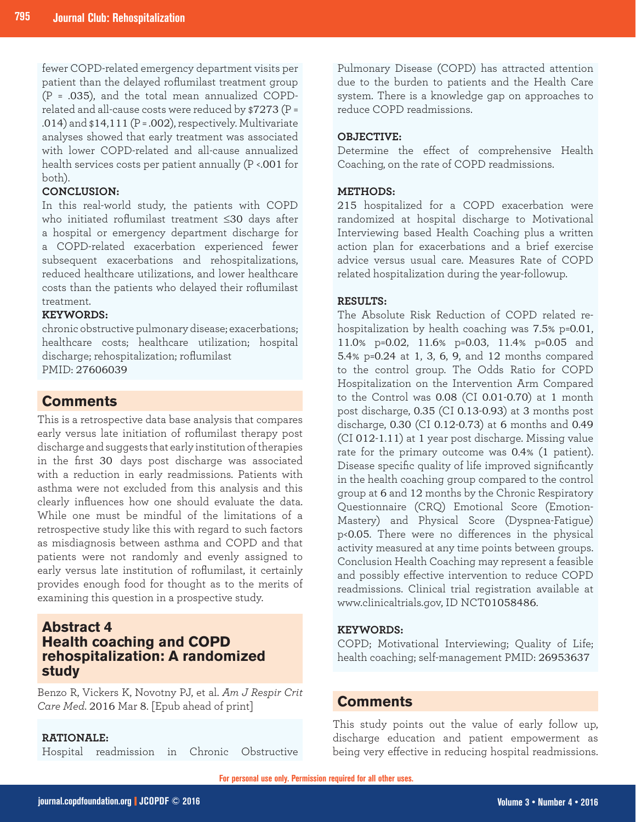fewer COPD-related emergency department visits per patient than the delayed roflumilast treatment group (P = .035), and the total mean annualized COPDrelated and all-cause costs were reduced by  $$7273$  (P = .014) and  $$14,111$  (P = .002), respectively. Multivariate analyses showed that early treatment was associated with lower COPD-related and all-cause annualized health services costs per patient annually (P <.001 for both).

## **CONCLUSION:**

In this real-world study, the patients with COPD who initiated roflumilast treatment ≤30 days after a hospital or emergency department discharge for a COPD-related exacerbation experienced fewer subsequent exacerbations and rehospitalizations, reduced healthcare utilizations, and lower healthcare costs than the patients who delayed their roflumilast treatment.

#### **KEYWORDS:**

chronic obstructive pulmonary disease; exacerbations; healthcare costs; healthcare utilization; hospital discharge; rehospitalization; roflumilast PMID: 27606039

**Comments**

This is a retrospective data base analysis that compares early versus late initiation of roflumilast therapy post discharge and suggests that early institution of therapies in the first 30 days post discharge was associated with a reduction in early readmissions. Patients with asthma were not excluded from this analysis and this clearly influences how one should evaluate the data. While one must be mindful of the limitations of a retrospective study like this with regard to such factors as misdiagnosis between asthma and COPD and that patients were not randomly and evenly assigned to early versus late institution of roflumilast, it certainly provides enough food for thought as to the merits of examining this question in a prospective study.

## **Abstract 4 Health coaching and COPD rehospitalization: A randomized study**

Benzo R, Vickers K, Novotny PJ, et al. *Am J Respir Crit Care Med*. 2016 Mar 8. [Epub ahead of print]

#### **RATIONALE:**

Hospital readmission in Chronic Obstructive

Pulmonary Disease (COPD) has attracted attention due to the burden to patients and the Health Care system. There is a knowledge gap on approaches to reduce COPD readmissions.

### **OBJECTIVE:**

Determine the effect of comprehensive Health Coaching, on the rate of COPD readmissions.

#### **METHODS:**

215 hospitalized for a COPD exacerbation were randomized at hospital discharge to Motivational Interviewing based Health Coaching plus a written action plan for exacerbations and a brief exercise advice versus usual care. Measures Rate of COPD related hospitalization during the year-followup.

#### **RESULTS:**

The Absolute Risk Reduction of COPD related rehospitalization by health coaching was 7.5% p=0.01, 11.0% p=0.02, 11.6% p=0.03, 11.4% p=0.05 and 5.4% p=0.24 at 1, 3, 6, 9, and 12 months compared to the control group. The Odds Ratio for COPD Hospitalization on the Intervention Arm Compared to the Control was 0.08 (CI 0.01-0.70) at 1 month post discharge, 0.35 (CI 0.13-0.93) at 3 months post discharge, 0.30 (CI 0.12-0.73) at 6 months and 0.49 (CI 012-1.11) at 1 year post discharge. Missing value rate for the primary outcome was 0.4% (1 patient). Disease specific quality of life improved significantly in the health coaching group compared to the control group at 6 and 12 months by the Chronic Respiratory Questionnaire (CRQ) Emotional Score (Emotion-Mastery) and Physical Score (Dyspnea-Fatigue) p<0.05. There were no differences in the physical activity measured at any time points between groups. Conclusion Health Coaching may represent a feasible and possibly effective intervention to reduce COPD readmissions. Clinical trial registration available at www.clinicaltrials.gov, ID NCT01058486.

#### **KEYWORDS:**

COPD; Motivational Interviewing; Quality of Life; health coaching; self-management PMID: 26953637

## **Comments**

This study points out the value of early follow up, discharge education and patient empowerment as being very effective in reducing hospital readmissions.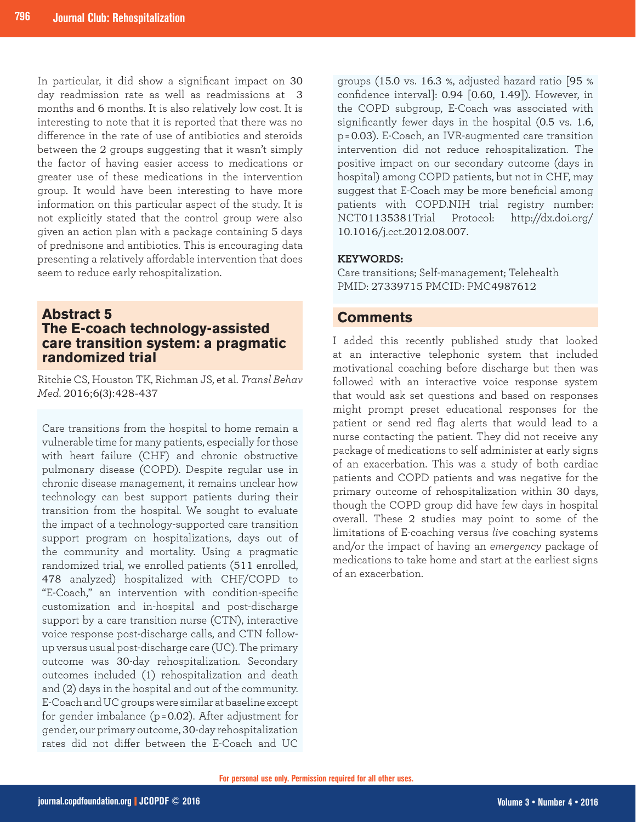In particular, it did show a significant impact on 30 day readmission rate as well as readmissions at 3 months and 6 months. It is also relatively low cost. It is interesting to note that it is reported that there was no difference in the rate of use of antibiotics and steroids between the 2 groups suggesting that it wasn't simply the factor of having easier access to medications or greater use of these medications in the intervention group. It would have been interesting to have more information on this particular aspect of the study. It is not explicitly stated that the control group were also given an action plan with a package containing 5 days of prednisone and antibiotics. This is encouraging data presenting a relatively affordable intervention that does seem to reduce early rehospitalization.

# **Abstract 5 The E-coach technology-assisted care transition system: a pragmatic randomized trial**

Ritchie CS, Houston TK, Richman JS, et al. *Transl Behav Med*. 2016;6(3):428-437

Care transitions from the hospital to home remain a vulnerable time for many patients, especially for those with heart failure (CHF) and chronic obstructive pulmonary disease (COPD). Despite regular use in chronic disease management, it remains unclear how technology can best support patients during their transition from the hospital. We sought to evaluate the impact of a technology-supported care transition support program on hospitalizations, days out of the community and mortality. Using a pragmatic randomized trial, we enrolled patients (511 enrolled, 478 analyzed) hospitalized with CHF/COPD to "E-Coach," an intervention with condition-specific customization and in-hospital and post-discharge support by a care transition nurse (CTN), interactive voice response post-discharge calls, and CTN followup versus usual post-discharge care (UC). The primary outcome was 30-day rehospitalization. Secondary outcomes included (1) rehospitalization and death and (2) days in the hospital and out of the community. E-Coach and UC groups were similar at baseline except for gender imbalance ( $p = 0.02$ ). After adjustment for gender, our primary outcome, 30-day rehospitalization rates did not differ between the E-Coach and UC

groups (15.0 vs. 16.3 %, adjusted hazard ratio [95 % confidence interval]: 0.94 [0.60, 1.49]). However, in the COPD subgroup, E-Coach was associated with significantly fewer days in the hospital (0.5 vs. 1.6, p = 0.03). E-Coach, an IVR-augmented care transition intervention did not reduce rehospitalization. The positive impact on our secondary outcome (days in hospital) among COPD patients, but not in CHF, may suggest that E-Coach may be more beneficial among patients with COPD.NIH trial registry number: NCT01135381Trial Protocol: http://dx.doi.org/ 10.1016/j.cct.2012.08.007.

## **KEYWORDS:**

Care transitions; Self-management; Telehealth PMID: 27339715 PMCID: PMC4987612

## **Comments**

I added this recently published study that looked at an interactive telephonic system that included motivational coaching before discharge but then was followed with an interactive voice response system that would ask set questions and based on responses might prompt preset educational responses for the patient or send red flag alerts that would lead to a nurse contacting the patient. They did not receive any package of medications to self administer at early signs of an exacerbation. This was a study of both cardiac patients and COPD patients and was negative for the primary outcome of rehospitalization within 30 days, though the COPD group did have few days in hospital overall. These 2 studies may point to some of the limitations of E-coaching versus *live* coaching systems and/or the impact of having an *emergency* package of medications to take home and start at the earliest signs of an exacerbation.